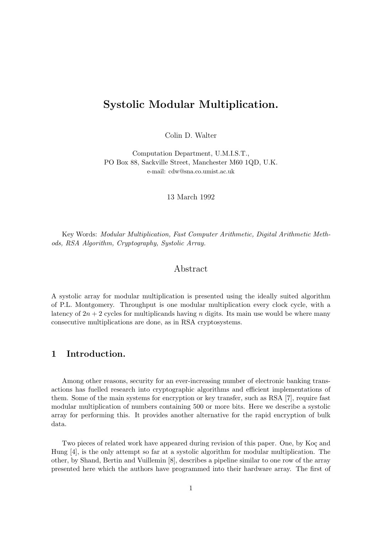# Systolic Modular Multiplication.

Colin D. Walter

Computation Department, U.M.I.S.T., PO Box 88, Sackville Street, Manchester M60 1QD, U.K. e-mail: cdw@sna.co.umist.ac.uk

13 March 1992

Key Words: Modular Multiplication, Fast Computer Arithmetic, Digital Arithmetic Methods, RSA Algorithm, Cryptography, Systolic Array.

## Abstract

A systolic array for modular multiplication is presented using the ideally suited algorithm of P.L. Montgomery. Throughput is one modular multiplication every clock cycle, with a latency of  $2n + 2$  cycles for multiplicands having n digits. Its main use would be where many consecutive multiplications are done, as in RSA cryptosystems.

## 1 Introduction.

Among other reasons, security for an ever-increasing number of electronic banking transactions has fuelled research into cryptographic algorithms and efficient implementations of them. Some of the main systems for encryption or key transfer, such as RSA [7], require fast modular multiplication of numbers containing 500 or more bits. Here we describe a systolic array for performing this. It provides another alternative for the rapid encryption of bulk data.

Two pieces of related work have appeared during revision of this paper. One, by Koç and Hung [4], is the only attempt so far at a systolic algorithm for modular multiplication. The other, by Shand, Bertin and Vuillemin [8], describes a pipeline similar to one row of the array presented here which the authors have programmed into their hardware array. The first of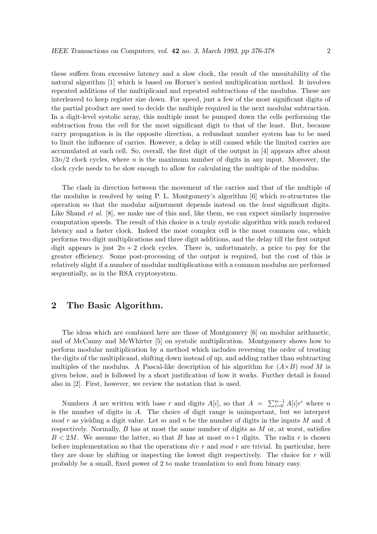these suffers from excessive latency and a slow clock, the result of the unsuitability of the natural algorithm [1] which is based on Horner's nested multiplication method. It involves repeated additions of the multiplicand and repeated subtractions of the modulus. These are interleaved to keep register size down. For speed, just a few of the most significant digits of the partial product are used to decide the multiple required in the next modular subtraction. In a digit-level systolic array, this multiple must be pumped down the cells performing the subtraction from the cell for the most significant digit to that of the least. But, because carry propagation is in the opposite direction, a redundant number system has to be used to limit the influence of carries. However, a delay is still caused while the limited carries are accumulated at each cell. So, overall, the first digit of the output in [4] appears after about  $13n/2$  clock cycles, where n is the maximum number of digits in any input. Moreover, the clock cycle needs to be slow enough to allow for calculating the multiple of the modulus.

The clash in direction between the movement of the carries and that of the multiple of the modulus is resolved by using P. L. Montgomery's algorithm [6] which re-structures the operation so that the modular adjustment depends instead on the least significant digits. Like Shand *et al.* [8], we make use of this and, like them, we can expect similarly impressive computation speeds. The result of this choice is a truly systolic algorithm with much reduced latency and a faster clock. Indeed the most complex cell is the most common one, which performs two digit multiplications and three digit additions, and the delay till the first output digit appears is just  $2n + 2$  clock cycles. There is, unfortunately, a price to pay for the greater efficiency. Some post-processing of the output is required, but the cost of this is relatively slight if a number of modular multiplications with a common modulus are performed sequentially, as in the RSA cryptosystem.

## 2 The Basic Algorithm.

The ideas which are combined here are those of Montgomery [6] on modular arithmetic, and of McCanny and McWhirter [5] on systolic multiplication. Montgomery shows how to perform modular multiplication by a method which includes reversing the order of treating the digits of the multiplicand, shifting down instead of up, and adding rather than subtracting multiples of the modulus. A Pascal-like description of his algorithm for  $(A\times B)$  mod M is given below, and is followed by a short justification of how it works. Further detail is found also in [2]. First, however, we review the notation that is used.

Numbers A are written with base r and digits  $A[i]$ , so that  $A = \sum_{i=0}^{n-1} A[i]r^i$  where n is the number of digits in A. The choice of digit range is unimportant, but we interpret  $mod\ r$  as yielding a digit value. Let m and n be the number of digits in the inputs M and A respectively. Normally,  $B$  has at most the same number of digits as  $M$  or, at worst, satisfies  $B < 2M$ . We assume the latter, so that B has at most  $m+1$  digits. The radix r is chosen before implementation so that the operations  $div r$  and mod r are trivial. In particular, here they are done by shifting or inspecting the lowest digit respectively. The choice for  $r$  will probably be a small, fixed power of 2 to make translation to and from binary easy.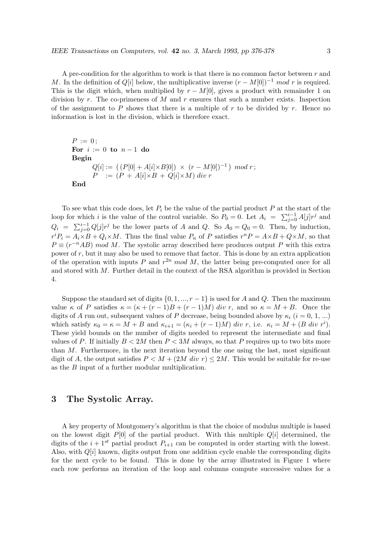A pre-condition for the algorithm to work is that there is no common factor between  $r$  and M. In the definition of  $Q[i]$  below, the multiplicative inverse  $(r - M[0])^{-1} \mod r$  is required. This is the digit which, when multiplied by  $r - M[0]$ , gives a product with remainder 1 on division by r. The co-primeness of M and r ensures that such a number exists. Inspection of the assignment to P shows that there is a multiple of r to be divided by r. Hence no information is lost in the division, which is therefore exact.

```
P := 0:
For i := 0 to n-1 do
Begin
       Q[i] := ((P[0] + A[i] \times B[0]) \times (r - M[0])^{-1}) \mod r;P := (P + A[i] \times B + Q[i] \times M) div r
End
```
To see what this code does, let  $P_i$  be the value of the partial product P at the start of the loop for which i is the value of the control variable. So  $P_0 = 0$ . Let  $A_i = \sum_{j=0}^{i-1} A[j] r^j$  and  $Q_i = \sum_{j=0}^{i-1} Q[j] r^j$  be the lower parts of A and Q. So  $A_0 = Q_0 = 0$ . Then, by induction,  $r^{i}P_{i} = A_{i} \times B + Q_{i} \times M$ . Thus the final value  $P_{n}$  of P satisfies  $r^{n}P = A \times B + Q \times M$ , so that  $P \equiv (r^{-n}AB) \mod M$ . The systolic array described here produces output P with this extra power of  $r$ , but it may also be used to remove that factor. This is done by an extra application of the operation with inputs P and  $r^{2n} \mod M$ , the latter being pre-computed once for all and stored with M. Further detail in the context of the RSA algorithm is provided in Section 4.

Suppose the standard set of digits  $\{0, 1, ..., r-1\}$  is used for A and Q. Then the maximum value  $\kappa$  of P satisfies  $\kappa = (\kappa + (r-1)B + (r-1)M)$  div r, and so  $\kappa = M + B$ . Once the digits of A run out, subsequent values of P decrease, being bounded above by  $\kappa_i$  (i = 0, 1, ...) which satisfy  $\kappa_0 = \kappa = M + B$  and  $\kappa_{i+1} = (\kappa_i + (r-1)M)$  div r, i.e.  $\kappa_i = M + (B \text{ div } r^i)$ . These yield bounds on the number of digits needed to represent the intermediate and final values of P. If initially  $B < 2M$  then  $P < 3M$  always, so that P requires up to two bits more than  $M$ . Furthermore, in the next iteration beyond the one using the last, most significant digit of A, the output satisfies  $P \lt M + (2M \, div \, r) \lt 2M$ . This would be suitable for re-use as the B input of a further modular multiplication.

## 3 The Systolic Array.

A key property of Montgomery's algorithm is that the choice of modulus multiple is based on the lowest digit  $P[0]$  of the partial product. With this multiple  $Q[i]$  determined, the digits of the  $i + 1<sup>st</sup>$  partial product  $P_{i+1}$  can be computed in order starting with the lowest. Also, with  $Q[i]$  known, digits output from one addition cycle enable the corresponding digits for the next cycle to be found. This is done by the array illustrated in Figure 1 where each row performs an iteration of the loop and columns compute successive values for a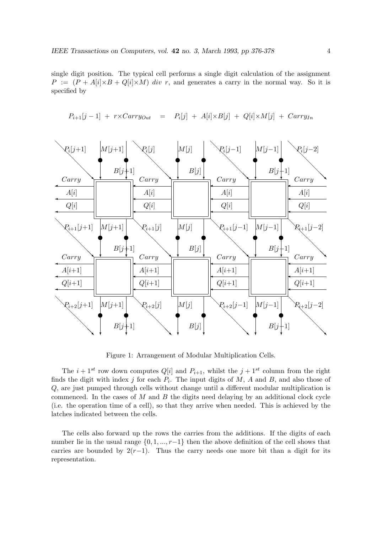single digit position. The typical cell performs a single digit calculation of the assignment  $P := (P + A[i] \times B + Q[i] \times M)$  div r, and generates a carry in the normal way. So it is specified by



 $P_{i+1}[j-1]$  +  $r \times Carry_{Out}$  =  $P_i[j]$  +  $A[i] \times B[j]$  +  $Q[i] \times M[j]$  +  $Carry_{In}$ 

Figure 1: Arrangement of Modular Multiplication Cells.

The  $i + 1^{st}$  row down computes  $Q[i]$  and  $P_{i+1}$ , whilst the  $j + 1^{st}$  column from the right finds the digit with index j for each  $P_i$ . The input digits of M, A and B, and also those of Q, are just pumped through cells without change until a different modular multiplication is commenced. In the cases of  $M$  and  $B$  the digits need delaying by an additional clock cycle (i.e. the operation time of a cell), so that they arrive when needed. This is achieved by the latches indicated between the cells.

The cells also forward up the rows the carries from the additions. If the digits of each number lie in the usual range  $\{0, 1, ..., r-1\}$  then the above definition of the cell shows that carries are bounded by  $2(r-1)$ . Thus the carry needs one more bit than a digit for its representation.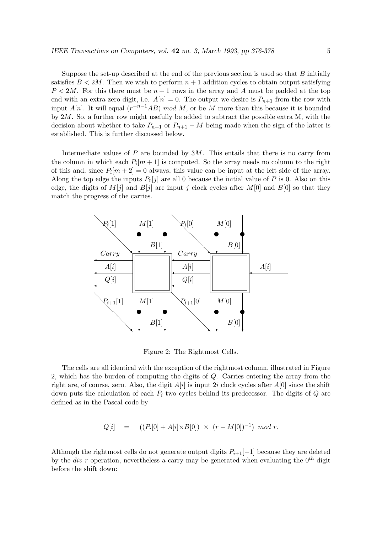Suppose the set-up described at the end of the previous section is used so that  $B$  initially satisfies  $B < 2M$ . Then we wish to perform  $n+1$  addition cycles to obtain output satisfying  $P < 2M$ . For this there must be  $n+1$  rows in the array and A must be padded at the top end with an extra zero digit, i.e.  $A[n] = 0$ . The output we desire is  $P_{n+1}$  from the row with input A[n]. It will equal  $(r^{-n-1}AB) \mod M$ , or be M more than this because it is bounded by  $2M$ . So, a further row might usefully be added to subtract the possible extra M, with the decision about whether to take  $P_{n+1}$  or  $P_{n+1} - M$  being made when the sign of the latter is established. This is further discussed below.

Intermediate values of  $P$  are bounded by  $3M$ . This entails that there is no carry from the column in which each  $P_i[m+1]$  is computed. So the array needs no column to the right of this and, since  $P_i[m+2]=0$  always, this value can be input at the left side of the array. Along the top edge the inputs  $P_0[j]$  are all 0 because the initial value of P is 0. Also on this edge, the digits of  $M[j]$  and  $B[j]$  are input j clock cycles after  $M[0]$  and  $B[0]$  so that they match the progress of the carries.



Figure 2: The Rightmost Cells.

The cells are all identical with the exception of the rightmost column, illustrated in Figure 2, which has the burden of computing the digits of Q. Carries entering the array from the right are, of course, zero. Also, the digit  $A[i]$  is input 2i clock cycles after  $A[0]$  since the shift down puts the calculation of each  $P_i$  two cycles behind its predecessor. The digits of  $Q$  are defined as in the Pascal code by

$$
Q[i] = ((P_i[0] + A[i] \times B[0]) \times (r - M[0])^{-1}) \mod r.
$$

Although the rightmost cells do not generate output digits  $P_{i+1}[-1]$  because they are deleted by the div r operation, nevertheless a carry may be generated when evaluating the  $0^{th}$  digit before the shift down: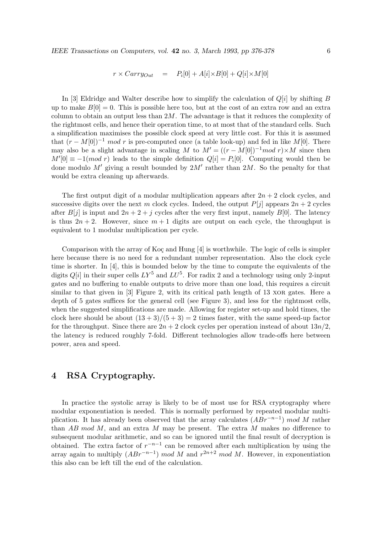$$
r \times Carry_{Out} = P_i[0] + A[i] \times B[0] + Q[i] \times M[0]
$$

In [3] Eldridge and Walter describe how to simplify the calculation of  $Q[i]$  by shifting B up to make  $B[0] = 0$ . This is possible here too, but at the cost of an extra row and an extra column to obtain an output less than  $2M$ . The advantage is that it reduces the complexity of the rightmost cells, and hence their operation time, to at most that of the standard cells. Such a simplification maximises the possible clock speed at very little cost. For this it is assumed that  $(r - M[0])^{-1}$  mod r is pre-computed once (a table look-up) and fed in like M[0]. There may also be a slight advantage in scaling M to  $M' = ((r - M[0])^{-1} \mod r) \times M$  since then  $M'[0] \equiv -1(mod r)$  leads to the simple definition  $Q[i] = P_i[0]$ . Computing would then be done modulo  $M'$  giving a result bounded by  $2M'$  rather than  $2M$ . So the penalty for that would be extra cleaning up afterwards.

The first output digit of a modular multiplication appears after  $2n + 2$  clock cycles, and successive digits over the next m clock cycles. Indeed, the output  $P[j]$  appears  $2n + 2$  cycles after  $B[j]$  is input and  $2n + 2 + j$  cycles after the very first input, namely  $B[0]$ . The latency is thus  $2n + 2$ . However, since  $m + 1$  digits are output on each cycle, the throughput is equivalent to 1 modular multiplication per cycle.

Comparison with the array of Koç and Hung  $[4]$  is worthwhile. The logic of cells is simpler here because there is no need for a redundant number representation. Also the clock cycle time is shorter. In [4], this is bounded below by the time to compute the equivalents of the digits  $Q[i]$  in their super cells  $LY^5$  and  $LU^5$ . For radix 2 and a technology using only 2-input gates and no buffering to enable outputs to drive more than one load, this requires a circuit similar to that given in [3] Figure 2, with its critical path length of 13 xor gates. Here a depth of 5 gates suffices for the general cell (see Figure 3), and less for the rightmost cells, when the suggested simplifications are made. Allowing for register set-up and hold times, the clock here should be about  $(13+3)/(5+3) = 2$  times faster, with the same speed-up factor for the throughput. Since there are  $2n + 2$  clock cycles per operation instead of about  $13n/2$ , the latency is reduced roughly 7-fold. Different technologies allow trade-offs here between power, area and speed.

## 4 RSA Cryptography.

In practice the systolic array is likely to be of most use for RSA cryptography where modular exponentiation is needed. This is normally performed by repeated modular multiplication. It has already been observed that the array calculates  $(ABr^{-n-1})$  mod M rather than AB mod M, and an extra M may be present. The extra M makes no difference to subsequent modular arithmetic, and so can be ignored until the final result of decryption is obtained. The extra factor of  $r^{-n-1}$  can be removed after each multiplication by using the array again to multiply  $(ABr^{-n-1}) \mod M$  and  $r^{2n+2} \mod M$ . However, in exponentiation this also can be left till the end of the calculation.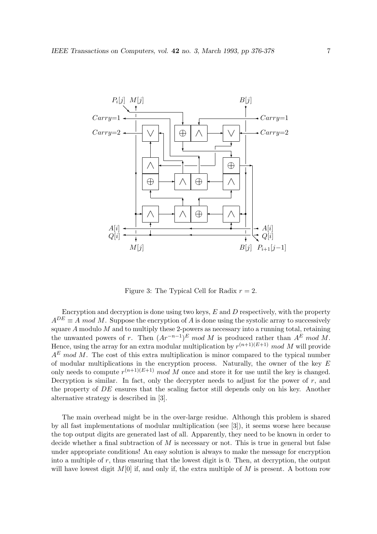

Figure 3: The Typical Cell for Radix  $r = 2$ .

Encryption and decryption is done using two keys,  $E$  and  $D$  respectively, with the property  $A^{DE} \equiv A \mod M$ . Suppose the encryption of A is done using the systolic array to successively square  $A$  modulo  $M$  and to multiply these 2-powers as necessary into a running total, retaining the unwanted powers of r. Then  $Ar^{-n-1}$ <sup>E</sup> mod M is produced rather than  $A^E$  mod M. Hence, using the array for an extra modular multiplication by  $r^{(n+1)(E+1)}$  mod M will provide  $A<sup>E</sup>$  mod M. The cost of this extra multiplication is minor compared to the typical number of modular multiplications in the encryption process. Naturally, the owner of the key  $E$ only needs to compute  $r^{(n+1)(E+1)}$  mod M once and store it for use until the key is changed. Decryption is similar. In fact, only the decrypter needs to adjust for the power of  $r$ , and the property of DE ensures that the scaling factor still depends only on his key. Another alternative strategy is described in [3].

The main overhead might be in the over-large residue. Although this problem is shared by all fast implementations of modular multiplication (see [3]), it seems worse here because the top output digits are generated last of all. Apparently, they need to be known in order to decide whether a final subtraction of  $M$  is necessary or not. This is true in general but false under appropriate conditions! An easy solution is always to make the message for encryption into a multiple of  $r$ , thus ensuring that the lowest digit is 0. Then, at decryption, the output will have lowest digit  $M[0]$  if, and only if, the extra multiple of M is present. A bottom row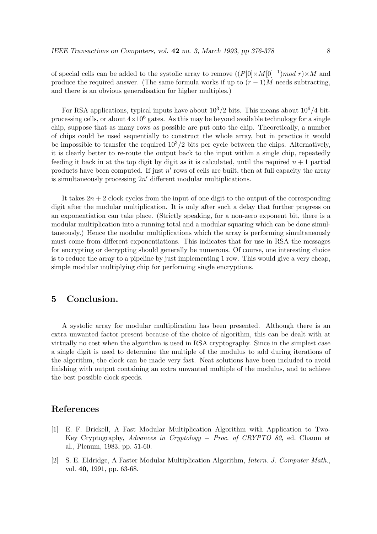of special cells can be added to the systolic array to remove  $((P[0] \times M[0]^{-1}) \mod r) \times M$  and produce the required answer. (The same formula works if up to  $(r-1)M$  needs subtracting, and there is an obvious generalisation for higher multiples.)

For RSA applications, typical inputs have about  $10^3/2$  bits. This means about  $10^6/4$  bitprocessing cells, or about  $4\times10^6$  gates. As this may be beyond available technology for a single chip, suppose that as many rows as possible are put onto the chip. Theoretically, a number of chips could be used sequentially to construct the whole array, but in practice it would be impossible to transfer the required  $10^3/2$  bits per cycle between the chips. Alternatively, it is clearly better to re-route the output back to the input within a single chip, repeatedly feeding it back in at the top digit by digit as it is calculated, until the required  $n+1$  partial products have been computed. If just  $n'$  rows of cells are built, then at full capacity the array is simultaneously processing  $2n'$  different modular multiplications.

It takes  $2n + 2$  clock cycles from the input of one digit to the output of the corresponding digit after the modular multiplication. It is only after such a delay that further progress on an exponentiation can take place. (Strictly speaking, for a non-zero exponent bit, there is a modular multiplication into a running total and a modular squaring which can be done simultaneously.) Hence the modular multiplications which the array is performing simultaneously must come from different exponentiations. This indicates that for use in RSA the messages for encrypting or decrypting should generally be numerous. Of course, one interesting choice is to reduce the array to a pipeline by just implementing 1 row. This would give a very cheap, simple modular multiplying chip for performing single encryptions.

## 5 Conclusion.

A systolic array for modular multiplication has been presented. Although there is an extra unwanted factor present because of the choice of algorithm, this can be dealt with at virtually no cost when the algorithm is used in RSA cryptography. Since in the simplest case a single digit is used to determine the multiple of the modulus to add during iterations of the algorithm, the clock can be made very fast. Neat solutions have been included to avoid finishing with output containing an extra unwanted multiple of the modulus, and to achieve the best possible clock speeds.

## References

- [1] E. F. Brickell, A Fast Modular Multiplication Algorithm with Application to Two-Key Cryptography, Advances in Cryptology − Proc. of CRYPTO 82, ed. Chaum et al., Plenum, 1983, pp. 51-60.
- [2] S. E. Eldridge, A Faster Modular Multiplication Algorithm, Intern. J. Computer Math., vol. 40, 1991, pp. 63-68.